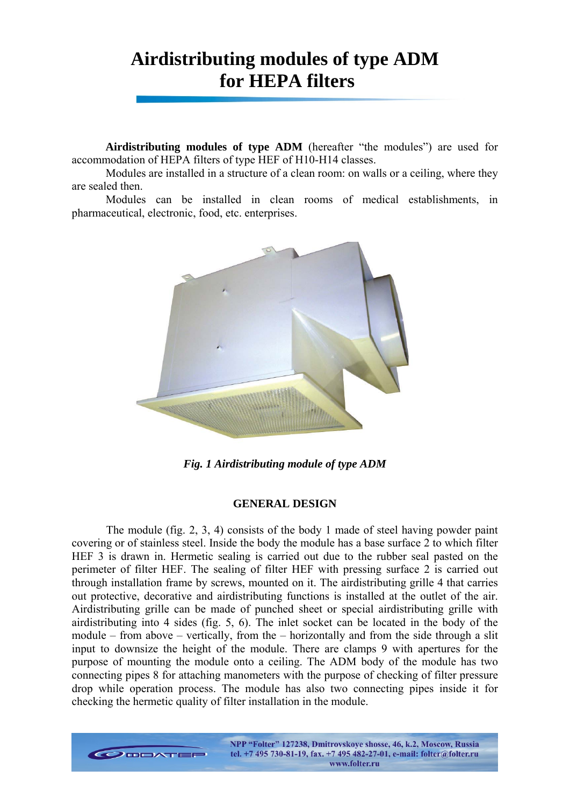# **Airdistributing modules of type ADM for HEPA filters**

**Airdistributing modules of type ADM** (hereafter "the modules") are used for accommodation of HEPA filters of type HEF of H10-H14 classes.

Modules are installed in a structure of a clean room: on walls or a ceiling, where they are sealed then.

Modules can be installed in clean rooms of medical establishments, in pharmaceutical, electronic, food, etc. enterprises.



*Fig. 1 Airdistributing module of type ADM* 

#### **GENERAL DESIGN**

The module (fig. 2, 3, 4) consists of the body 1 made of steel having powder paint covering or of stainless steel. Inside the body the module has a base surface 2 to which filter HEF 3 is drawn in. Hermetic sealing is carried out due to the rubber seal pasted on the perimeter of filter HEF. The sealing of filter HEF with pressing surface 2 is carried out through installation frame by screws, mounted on it. The airdistributing grille 4 that carries out protective, decorative and airdistributing functions is installed at the outlet of the air. Airdistributing grille can be made of punched sheet or special airdistributing grille with airdistributing into 4 sides (fig. 5, 6). The inlet socket can be located in the body of the module – from above – vertically, from the – horizontally and from the side through a slit input to downsize the height of the module. There are clamps 9 with apertures for the purpose of mounting the module onto a ceiling. The ADM body of the module has two connecting pipes 8 for attaching manometers with the purpose of checking of filter pressure drop while operation process. The module has also two connecting pipes inside it for checking the hermetic quality of filter installation in the module.

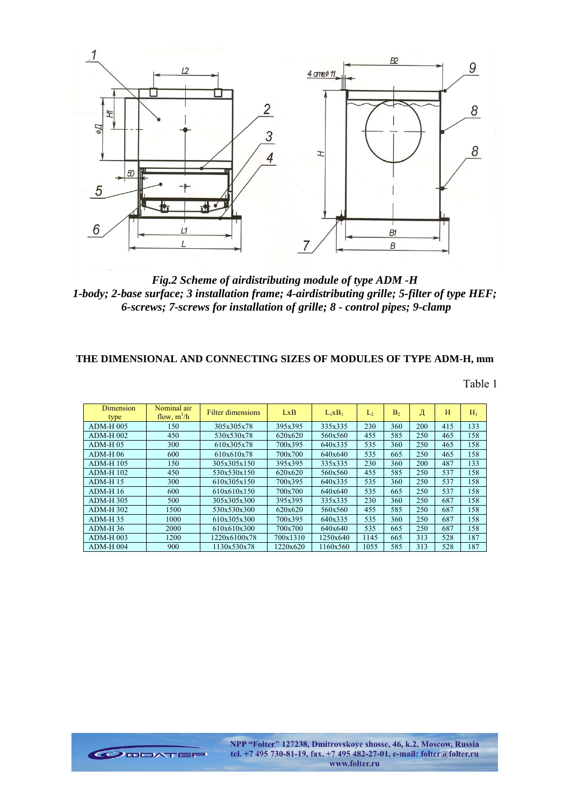

*Fig.2 Scheme of airdistributing module of type ADM -H 1-body; 2-base surface; 3 installation frame; 4-airdistributing grille; 5-filter of type HEF; 6-screws; 7-screws for installation of grille; 8 - control pipes; 9-clamp* 

## **THE DIMENSIONAL AND CONNECTING SIZES OF MODULES OF TYPE ADM-H, mm**

Table 1

| <b>Dimension</b><br>type | Nominal air<br>flow, $m^3/h$ | Filter dimensions | LxB      | $L_1xB_1$ | $\mathcal{L}_{2}$ | B <sub>2</sub> | Д   | H   | $H_1$ |
|--------------------------|------------------------------|-------------------|----------|-----------|-------------------|----------------|-----|-----|-------|
| <b>ADM-H005</b>          | 150                          | 305x305x78        | 395x395  | 335x335   | 230               | 360            | 200 | 415 | 133   |
| $ADM-H$ 002              | 450                          | 530x530x78        | 620x620  | 560x560   | 455               | 585            | 250 | 465 | 158   |
| $ADM-H$ 05               | 300                          | 610x305x78        | 700x395  | 640x335   | 535               | 360            | 250 | 465 | 158   |
| $ADM-H$ 06               | 600                          | 610x610x78        | 700x700  | 640x640   | 535               | 665            | 250 | 465 | 158   |
| <b>ADM-H 105</b>         | 150                          | 305x305x150       | 395x395  | 335x335   | 230               | 360            | 200 | 487 | 133   |
| <b>ADM-H 102</b>         | 450                          | 530x530x150       | 620x620  | 560x560   | 455               | 585            | 250 | 537 | 158   |
| $ADM-H$ 15               | 300                          | 610x305x150       | 700x395  | 640x335   | 535               | 360            | 250 | 537 | 158   |
| $ADM-H16$                | 600                          | 610x610x150       | 700x700  | 640x640   | 535               | 665            | 250 | 537 | 158   |
| <b>ADM-H 305</b>         | 500                          | 305x305x300       | 395x395  | 335x335   | 230               | 360            | 250 | 687 | 158   |
| <b>ADM-H 302</b>         | 1500                         | 530x530x300       | 620x620  | 560x560   | 455               | 585            | 250 | 687 | 158   |
| $ADM-H$ 35               | 1000                         | 610x305x300       | 700x395  | 640x335   | 535               | 360            | 250 | 687 | 158   |
| $ADM-H$ 36               | 2000                         | 610x610x300       | 700x700  | 640x640   | 535               | 665            | 250 | 687 | 158   |
| <b>ADM-H003</b>          | 1200                         | 1220x6100x78      | 700x1310 | 1250x640  | 1145              | 665            | 313 | 528 | 187   |
| $ADM-H$ 004              | 900                          | 1130x530x78       | 1220x620 | 1160x560  | 1055              | 585            | 313 | 528 | 187   |

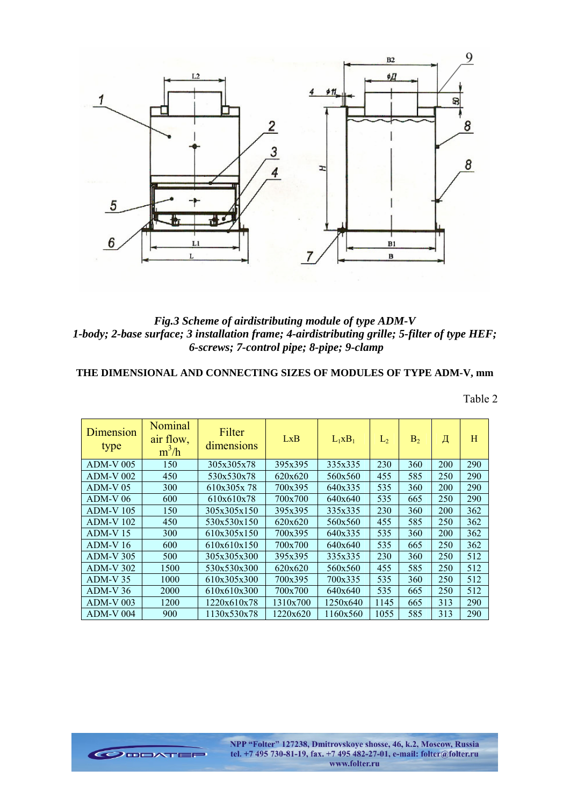

*Fig.3 Scheme of airdistributing module of type ADM-V 1-body; 2-base surface; 3 installation frame; 4-airdistributing grille; 5-filter of type HEF; 6-screws; 7-control pipe; 8-pipe; 9-clamp* 

**THE DIMENSIONAL AND CONNECTING SIZES OF MODULES OF TYPE ADM-V, mm** 

Table 2

| Dimension<br>type | Nominal<br>air flow,<br>$m^3/h$ | Filter<br>dimensions | LxB      | $L_1xB_1$ | L <sub>2</sub> | B <sub>2</sub> | Д   | Η   |
|-------------------|---------------------------------|----------------------|----------|-----------|----------------|----------------|-----|-----|
| $ADM-V$ 005       | 150                             | 305x305x78           | 395x395  | 335x335   | 230            | 360            | 200 | 290 |
| $ADM-V$ 002       | 450                             | 530x530x78           | 620x620  | 560x560   | 455            | 585            | 250 | 290 |
| $ADM-V 05$        | 300                             | 610x305x78           | 700x395  | 640x335   | 535            | 360            | 200 | 290 |
| $ADM-V06$         | 600                             | 610x610x78           | 700x700  | 640x640   | 535            | 665            | 250 | 290 |
| <b>ADM-V 105</b>  | 150                             | 305x305x150          | 395x395  | 335x335   | 230            | 360            | 200 | 362 |
| <b>ADM-V 102</b>  | 450                             | 530x530x150          | 620x620  | 560x560   | 455            | 585            | 250 | 362 |
| $ADM-V15$         | 300                             | 610x305x150          | 700x395  | 640x335   | 535            | 360            | 200 | 362 |
| $ADM-V16$         | 600                             | 610x610x150          | 700x700  | 640x640   | 535            | 665            | 250 | 362 |
| <b>ADM-V305</b>   | 500                             | 305x305x300          | 395x395  | 335x335   | 230            | 360            | 250 | 512 |
| <b>ADM-V 302</b>  | 1500                            | 530x530x300          | 620x620  | 560x560   | 455            | 585            | 250 | 512 |
| $ADM-V$ 35        | 1000                            | 610x305x300          | 700x395  | 700x335   | 535            | 360            | 250 | 512 |
| $ADM-V36$         | 2000                            | 610x610x300          | 700x700  | 640x640   | 535            | 665            | 250 | 512 |
| <b>ADM-V 003</b>  | 1200                            | 1220x610x78          | 1310x700 | 1250x640  | 1145           | 665            | 313 | 290 |
| $ADM-V$ 004       | 900                             | 1130x530x78          | 1220x620 | 1160x560  | 1055           | 585            | 313 | 290 |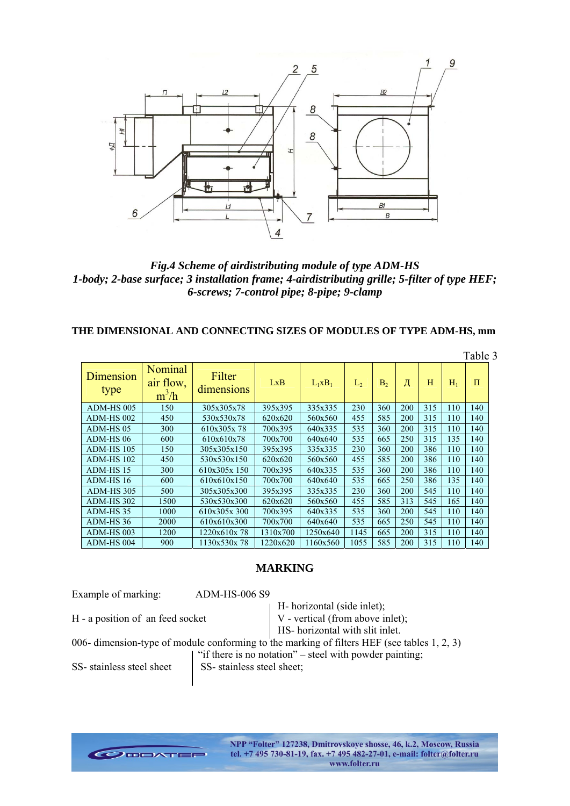

*Fig.4 Scheme of airdistributing module of type ADM-HS 1-body; 2-base surface; 3 installation frame; 4-airdistributing grille; 5-filter of type HEF; 6-screws; 7-control pipe; 8-pipe; 9-clamp* 

## **THE DIMENSIONAL AND CONNECTING SIZES OF MODULES OF TYPE ADM-HS, mm**

|                   |                                        |                      |          |           |                |                |     |     |       | 1 aviv |
|-------------------|----------------------------------------|----------------------|----------|-----------|----------------|----------------|-----|-----|-------|--------|
| Dimension<br>type | <b>Nominal</b><br>air flow,<br>$m^3/h$ | Filter<br>dimensions | LxB      | $L_1xB_1$ | L <sub>2</sub> | B <sub>2</sub> | Д   | H   | $H_1$ | $\Pi$  |
| ADM-HS 005        | 150                                    | 305x305x78           | 395x395  | 335x335   | 230            | 360            | 200 | 315 | 110   | 140    |
| ADM-HS 002        | 450                                    | 530x530x78           | 620x620  | 560x560   | 455            | 585            | 200 | 315 | 110   | 140    |
| ADM-HS 05         | 300                                    | 610x305x78           | 700x395  | 640x335   | 535            | 360            | 200 | 315 | 110   | 140    |
| ADM-HS 06         | 600                                    | 610x610x78           | 700x700  | 640x640   | 535            | 665            | 250 | 315 | 135   | 140    |
| ADM-HS 105        | 150                                    | 305x305x150          | 395x395  | 335x335   | 230            | 360            | 200 | 386 | 110   | 140    |
| ADM-HS 102        | 450                                    | 530x530x150          | 620x620  | 560x560   | 455            | 585            | 200 | 386 | 110   | 140    |
| ADM-HS 15         | 300                                    | 610x305x 150         | 700x395  | 640x335   | 535            | 360            | 200 | 386 | 110   | 140    |
| ADM-HS 16         | 600                                    | 610x610x150          | 700x700  | 640x640   | 535            | 665            | 250 | 386 | 135   | 140    |
| ADM-HS 305        | 500                                    | 305x305x300          | 395x395  | 335x335   | 230            | 360            | 200 | 545 | 110   | 140    |
| ADM-HS 302        | 1500                                   | 530x530x300          | 620x620  | 560x560   | 455            | 585            | 313 | 545 | 165   | 140    |
| ADM-HS35          | 1000                                   | 610x305x 300         | 700x395  | 640x335   | 535            | 360            | 200 | 545 | 110   | 140    |
| ADM-HS 36         | 2000                                   | 610x610x300          | 700x700  | 640x640   | 535            | 665            | 250 | 545 | 110   | 140    |
| ADM-HS 003        | 1200                                   | 1220x610x78          | 1310x700 | 1250x640  | 1145           | 665            | 200 | 315 | 110   | 140    |
| ADM-HS 004        | 900                                    | 1130x530x78          | 1220x620 | 1160x560  | 1055           | 585            | 200 | 315 | 110   | 140    |

#### **MARKING**

Example of marking: ADM-HS-006 S9

 H- horizontal (side inlet); H - a position of an feed socket  $V$  - vertical (from above inlet);

HS- horizontal with slit inlet.

006- dimension-type of module conforming to the marking of filters HEF (see tables  $1, 2, 3$ )

"if there is no notation" – steel with powder painting;

SS- stainless steel sheet SS- stainless steel sheet;

Table 3